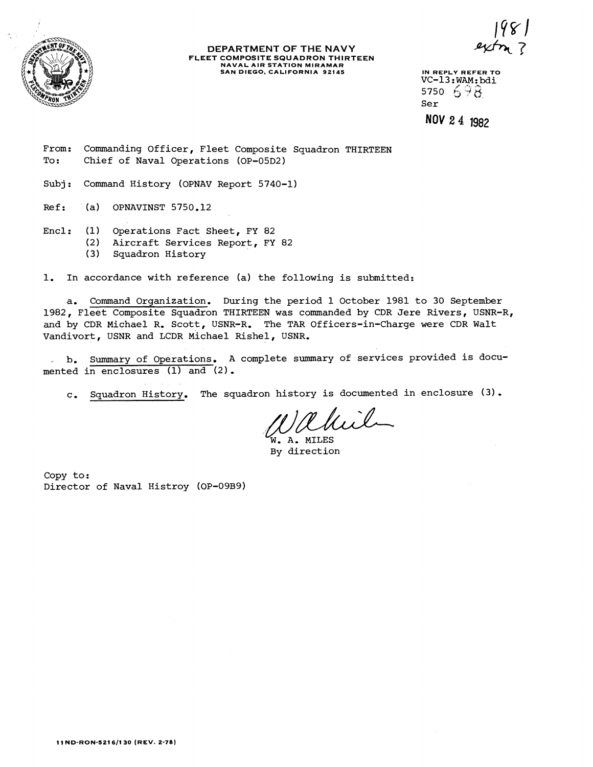

#### **DEPARTMENT OF THE NAVY FLEET COMPOSITE SQUADRON THIRTEEN NAVAL AIR STATION MIRAMAR SAN DIEGO, CALIFORNIA 92145** IN REPLY REFER TO

VC-13:WAM:bdi 5750 698 Ser

NOV 2 4 1982

From: Commanding Officer, Fleet Composite Squadron THIRTEEN To: Chief of Naval Operations (OP-05D2)

Subj: Command History (OPNAV Report 5740-1)

 $Ref:$  (a) OPNAVINST 5750.12

Encl: (1) Operations Fact Sheet, FY 82<br>(2) Aircraft Services Report, FY

- (2) Aircraft Services Report, FY 82
	- Squadron History

1. In accordance with reference (a) the following is submitted:

a. Command Organization. During the period 1 October 1981 to 30 September 1982, Fleet Composite Squadron THIRTEEN was commanded by CDR Jere Rivers, USNR-R, and by CDR Michael R. Scott, USNR-R. The TAR Officers-in-Charge were CDR Walt Vandivort, USNR and LCDR Michael Rishel, USNR.

**b.** Summary of Operations. A complete summary of services provided is documented in enclosures (1) and (2).

c. Squadron History. The squadron history is documented in enclosure (3).

Rhil

. A. MILES By direction

Copy to: Director of Naval Histroy (OP-09B9)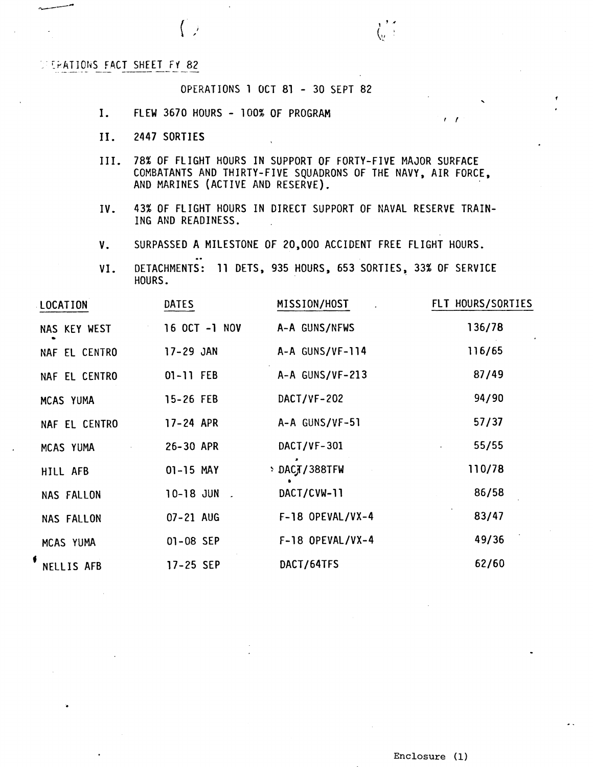**LEATIONS FACT SHEET FY 82** 

### OPERATIONS 1 OCT 81 - 30 SEPT 82 . **<sup>f</sup>**

- I. FLEW 3670 HOURS 100% OF PROGRAM **R**  $\frac{1}{2}$
- **11.** 2447 SORTIES
- 111. 78% OF FLIGHT HOURS IN SUPPORT OF FORTY-FIVE MAJOR SURFACE COMBATANTS AND THIRTY-FIVE SQUADRONS OF THE NAVY, AIR FORCE, AND MARINES (ACTIVE AND RESERVE).

 $\langle_{\scriptscriptstyle V}$  :

- IV. 43% OF FLIGHT HOURS IN DIRECT SUPPORT OF NAVAL RESERVE TRAIN-ING AND READINESS.
- V. SURPASSED A MILESTONE OF 20,000 ACCIDENT FREE FLIGHT HOURS. .-
- VI. DETACHMENTS: 11 DETS, 935 HOURS, 653 SORTIES, 33% OF SERVICE HOURS.

| LOCATION      | DATES         | MISSION/HOST       | FLT HOURS/SORTIES |
|---------------|---------------|--------------------|-------------------|
| NAS KEY WEST  | 16 OCT -1 NOV | A-A GUNS/NFWS      | 136/78            |
| NAF EL CENTRO | 17-29 JAN     | A-A GUNS/VF-114    | 116/65            |
| NAF EL CENTRO | 01-11 FEB     | A-A GUNS/VF-213    | 87/49             |
| MCAS YUMA     | 15-26 FEB     | DACT/VF-202        | 94/90             |
| NAF EL CENTRO | 17-24 APR     | A-A GUNS/VF-51     | 57/37             |
| MCAS YUMA     | 26-30 APR     | DACT/VF-301        | 55/55             |
| HILL AFB      | 01-15 MAY     | DACT/388TFW        | 110/78            |
| NAS FALLON    | 10-18 JUN     | DACT/CVW-11        | 86/58             |
| NAS FALLON    | 07-21 AUG     | $F-18$ OPEVAL/VX-4 | 83/47             |
| MCAS YUMA     | 01-08 SEP     | $F-18$ OPEVAL/VX-4 | 49/36             |
| NELLIS AFB    | 17-25 SEP     | DACT/64TFS         | 62/60             |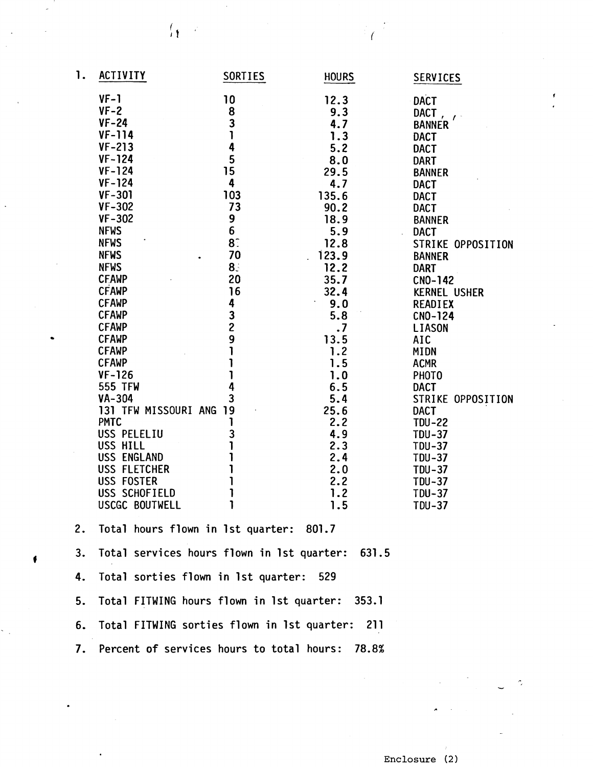| 1. | ACTIVITY                                    | SORTIES        | <b>HOURS</b> | <b>SERVICES</b>                |
|----|---------------------------------------------|----------------|--------------|--------------------------------|
|    | $VF-1$                                      | 10             | 12.3         | <b>DACT</b>                    |
|    | $VF-2$                                      | 8              | 9.3          | DACT,                          |
|    | $VF-24$                                     | 3              | 4.7          | $\mathcal{L}$<br><b>BANNER</b> |
|    | $VF-114$                                    | 1              | 1.3          | <b>DACT</b>                    |
|    | $VF-213$                                    | 4              | 5.2          | <b>DACT</b>                    |
|    | $VF-124$                                    | 5              | 8.0          | <b>DART</b>                    |
|    | $VF-124$                                    | 15             | 29.5         | <b>BANNER</b>                  |
|    | $VF-124$                                    | 4              | 4.7          | <b>DACT</b>                    |
|    | $VF-301$                                    | 103            | 135.6        | <b>DACT</b>                    |
|    | $VF-302$                                    | 73             | 90.2         | <b>DACT</b>                    |
|    | $VF - 302$                                  | 9              | 18.9         | <b>BANNER</b>                  |
|    | <b>NFWS</b>                                 | 6              | 5.9          | <b>DACT</b>                    |
|    | <b>NFWS</b>                                 | 8 <sup>°</sup> | 12.8         | STRIKE OPPOSITION              |
|    | <b>NFWS</b>                                 | 70             | 123.9        | <b>BANNER</b>                  |
|    | <b>NFWS</b>                                 | 8 <sub>z</sub> | 12.2         | <b>DART</b>                    |
|    | <b>CFAWP</b>                                | 20             | 35.7         | CNO-142                        |
|    | <b>CFAWP</b>                                | 16             | 32.4         | <b>KERNEL USHER</b>            |
|    | <b>CFAWP</b>                                | 4              | 9.0          | <b>READIEX</b>                 |
|    | <b>CFAWP</b>                                | $\frac{3}{2}$  | 5.8          | CNO-124                        |
|    | <b>CFAWP</b>                                |                | $\cdot$      | <b>LIASON</b>                  |
|    | <b>CFAWP</b>                                | 9              | 13.5         | <b>AIC</b>                     |
|    | <b>CFAWP</b>                                |                | 1.2          | <b>MIDN</b>                    |
|    | <b>CFAWP</b>                                |                | 1.5          | <b>ACMR</b>                    |
|    | $VF-126$                                    |                | 1.0          | PHOTO                          |
|    | 555 TFW                                     | 4              | 6.5          | <b>DACT</b>                    |
|    | VA-304                                      | 3              | 5.4          | STRIKE OPPOSITION              |
|    | 131 TFW MISSOURI ANG                        | 19             | 25.6         | <b>DACT</b>                    |
|    | <b>PMTC</b>                                 |                | 2.2          | <b>TDU-22</b>                  |
|    | USS PELELIU                                 | 3              | 4.9          | <b>TDU-37</b>                  |
|    | USS HILL                                    |                | 2.3          | <b>TDU-37</b>                  |
|    | USS ENGLAND                                 |                | 2.4          | <b>TDU-37</b>                  |
|    | USS FLETCHER                                |                | 2.0          | <b>TDU-37</b>                  |
|    | USS FOSTER                                  |                | 2.2<br>1.2   | <b>TDU-37</b>                  |
|    | USS SCHOFIELD<br>USCGC BOUTWELL             | 1              | 1.5          | <b>TDU-37</b>                  |
|    |                                             |                |              | <b>TDU-37</b>                  |
| 2. | Total hours flown in 1st quarter: 801.7     |                |              |                                |
| 3. | Total services hours flown in 1st quarter:  |                | 631.5        |                                |
| 4. | Total sorties flown in 1st quarter:         |                | - 529        |                                |
| 5. | Total FITWING hours flown in 1st quarter:   |                | - 353.1      |                                |
| 6. | Total FITWING sorties flown in 1st quarter: |                | 211          |                                |
| 7. | Percent of services hours to total hours:   |                | 78.8%        |                                |
|    |                                             |                |              |                                |

 $\epsilon$ 

 $\int_{\mathbf{R}} |z|^2$ 

 $\bullet$ 

**Enclosure** (2)

Ĉ,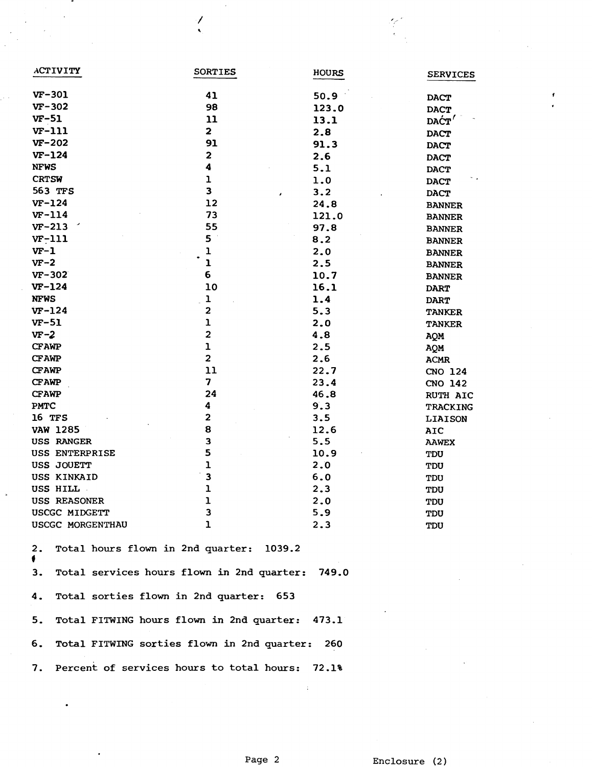| <b>ACTIVITY</b>  | <b>SORTIES</b>          | <b>HOURS</b> | <b>SERVICES</b>                             |
|------------------|-------------------------|--------------|---------------------------------------------|
| $VF-301$         | 41                      | 50.9         | <b>DACT</b>                                 |
| $VF-302$         | 98                      | 123.0        | <b>DACT</b>                                 |
| $VF-51$          | 11                      | 13.1         | $\mathbf{D}\mathbf{A}\mathbf{C}\mathbf{T}'$ |
| $VF-111$         | $\overline{\mathbf{2}}$ | 2.8          | <b>DACT</b>                                 |
| VF-202           | 91                      | 91.3         | <b>DACT</b>                                 |
| $VF-124$         | $\mathbf{z}$            | 2.6          | <b>DACT</b>                                 |
| <b>NFWS</b>      | $\ddot{\bf 4}$          | 5.1          | <b>DACT</b>                                 |
| <b>CRTSW</b>     | $\mathbf{1}$            | 1.0          | <b>DACT</b>                                 |
| 563 TFS          | $\overline{\mathbf{3}}$ | 3.2          | <b>DACT</b>                                 |
| $VF-124$         | 12                      | 24.8         | <b>BANNER</b>                               |
| $VF-114$         | 73                      | 121.0        | <b>BANNER</b>                               |
| $VF-213$         | 55                      | 97.8         | <b>BANNER</b>                               |
| $VF-111$         | 5                       | 8.2          | <b>BANNER</b>                               |
| $VF-1$           | ı                       | 2.0          | <b>BANNER</b>                               |
| $VF-2$           | $\mathbf{1}$            | 2.5          | <b>BANNER</b>                               |
| VF-302           | 6                       | 10.7         | <b>BANNER</b>                               |
| $VF-124$         | 10                      | 16.1         | <b>DART</b>                                 |
| <b>NFWS</b>      | $\mathbf 1$             | 1.4          | <b>DART</b>                                 |
| $VF-124$         | 2                       | 5.3          | <b>TANKER</b>                               |
| $VF-51$          | $\mathbf{1}$            | 2.0          | <b>TANKER</b>                               |
| $VF-2$           | $\overline{\mathbf{c}}$ | 4.8          | AQM                                         |
| <b>CFAWP</b>     | $\mathbf{1}$            | 2.5          | AQM                                         |
| <b>CFAWP</b>     | $\overline{\mathbf{c}}$ | 2.6          | <b>ACMR</b>                                 |
| <b>CFAWP</b>     | 11                      | 22.7         | CNO 124                                     |
| <b>CFAWP</b>     | 7                       | 23.4         | CNO 142                                     |
| <b>CFAWP</b>     | 24                      | 46.8         | <b>RUTH AIC</b>                             |
| PMTC             | 4                       | 9.3          | TRACKING                                    |
| 16 TFS           | $\mathbf{2}$            | 3.5          | <b>LIAISON</b>                              |
| <b>VAW 1285</b>  | 8                       | 12.6         | AIC                                         |
| USS RANGER       | 3                       | 5.5          | <b>AAWEX</b>                                |
| USS ENTERPRISE   | 5                       | 10.9         | TDU                                         |
| USS JOUETT       | $\mathbf{1}$            | 2.0          | TDU                                         |
| USS KINKAID      | 3                       | 6.0          | TDU                                         |
| USS HILL         | $\mathbf 1$             | 2.3          | TDU                                         |
| USS REASONER     | $\mathbf{1}$            | 2.0          | TDU                                         |
| USCGC MIDGETT    | 3                       | 5.9          | TDU                                         |
| USCGC MORGENTHAU | $\mathbf{1}$            | 2.3          | TDU                                         |

2. Total hours flown in 2nd quarter: 1039.2 **4**  3. Total services hours flown in 2nd quarter: 749.0 4. Total sorties flown in 2nd quarter: 653 5. Total FITWING hours flown in 2nd quarter: 473.1 6. Total FITWING sorties flown in 2nd quarter: 260 7. Percent of services hours to total hours: 72.1%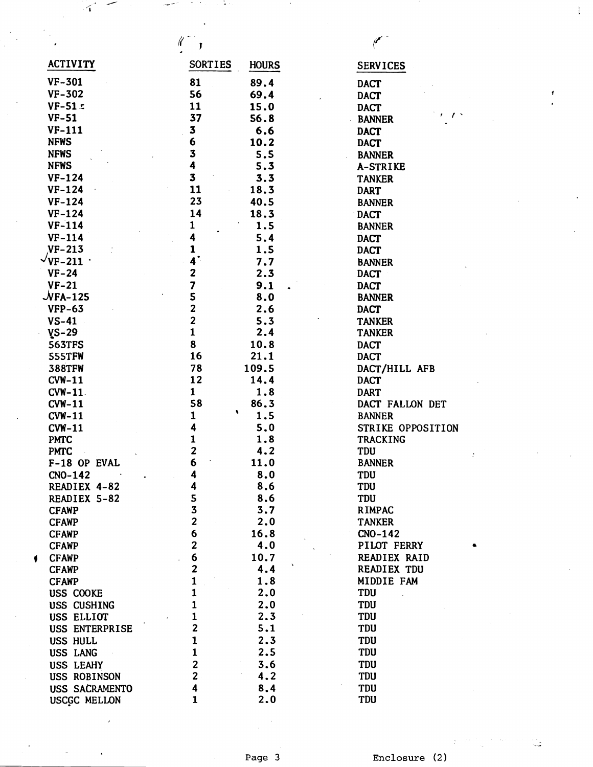| ACTIVITY                       | <b>SORTIES</b>          | <b>HOURS</b> | <b>SERVICES</b>   |
|--------------------------------|-------------------------|--------------|-------------------|
| $VF-301$                       | 81                      | 89.4         | <b>DACT</b>       |
| $VF-302$                       | 56                      | 69.4         | <b>DACT</b>       |
| $VF-51:$                       | 11                      | 15.0         | <b>DACT</b>       |
| <b>VF-51</b>                   | 37                      | 56.8         | <b>BANNER</b>     |
| $VF-111$                       | 3                       | 6.6          | <b>DACT</b>       |
| <b>NFWS</b>                    | 6                       | 10.2         | <b>DACT</b>       |
| <b>NFWS</b>                    | 3                       | 5.5          | <b>BANNER</b>     |
| <b>NFWS</b>                    | 4                       | 5.3          | A-STRIKE          |
| $VF-124$                       | 3                       | 3.3          | <b>TANKER</b>     |
| $VF-124$                       | 11                      | 18.3         | <b>DART</b>       |
| $VF-124$                       | 23                      | 40.5         | <b>BANNER</b>     |
| $VF-124$                       | 14                      | 18.3         | <b>DACT</b>       |
| $VF-114$                       | 1                       | 1.5          | <b>BANNER</b>     |
| $VF-114$                       | 4                       | 5.4          | <b>DACT</b>       |
| $VF-213$                       | 1                       | 1.5          | <b>DACT</b>       |
| $\vee$ VF-211 $\cdot$          | $4^\circ$               | 7.7          | <b>BANNER</b>     |
| $VF-24$                        | $\mathbf{z}$            | 2.3          | <b>DACT</b>       |
| $VF-21$                        | 7                       | 9.1          | <b>DACT</b>       |
| $\mathcal{\mathcal{N}}$ FA-125 | 5                       | 8.0          | <b>BANNER</b>     |
| <b>VFP-63</b>                  | $\overline{\mathbf{c}}$ | 2.6          | <b>DACT</b>       |
| $VS-41$                        | $\overline{\mathbf{c}}$ | 5.3          | <b>TANKER</b>     |
| $VS-29$                        | $\mathbf{1}$            | 2.4          | <b>TANKER</b>     |
| <b>563TFS</b>                  | 8                       | 10.8         | <b>DACT</b>       |
| 555TFW                         | 16                      | 21.1         | <b>DACT</b>       |
| <b>388TFW</b>                  | 78                      | 109.5        | DACT/HILL AFB     |
| $CVM-11$                       | 12                      | 14.4         | <b>DACT</b>       |
| <b>CVW-11</b>                  | $\mathbf{1}$            | 1.8          | <b>DART</b>       |
| $CVM-11$                       | 58                      | 86.3         | DACT FALLON DET   |
| $CVM-11$                       | ۰<br>1                  | 1.5          | <b>BANNER</b>     |
| <b>CVW-11</b>                  | 4                       | 5.0          | STRIKE OPPOSITION |
| <b>PMTC</b>                    | 1                       | 1.8          | <b>TRACKING</b>   |
| <b>PMTC</b>                    | $\overline{\mathbf{2}}$ | 4.2          | TDU               |
| F-18 OP EVAL                   | 6                       | 11.0         | <b>BANNER</b>     |
| $CNO-142$                      | 4                       | 8.0          | TDU               |
| READIEX 4-82                   | 4                       | 8.6          | TDU               |
| READIEX 5-82                   | 5                       | 8.6          | <b>TDU</b>        |
| <b>CFAWP</b>                   | 3                       | 3.7          | <b>RIMPAC</b>     |
| <b>CFAWP</b>                   | $\overline{\mathbf{c}}$ | 2.0          | <b>TANKER</b>     |
| <b>CFAWP</b>                   | 6                       | 16.8         | $CNO-142$         |
| <b>CFAWP</b>                   | $\overline{\mathbf{c}}$ | 4.0          | PILOT FERRY       |
| <b>CFAWP</b>                   | 6                       | 10.7         | READIEX RAID      |
| <b>CFAWP</b>                   | $\overline{\mathbf{c}}$ | 4.4          | READIEX TDU       |
| <b>CFAWP</b>                   | $\mathbf{1}$            | 1.8          | MIDDIE FAM        |
| USS COOKE                      | 1                       | 2.0          | <b>TDU</b>        |
| USS CUSHING                    | $\mathbf{1}$            | 2.0          | <b>TDU</b>        |
| USS ELLIOT                     | $\mathbf{1}$            | 2.3          | TDU               |
| USS ENTERPRISE                 | $\mathbf{2}$            | 5.1          | <b>TDU</b>        |
| USS HULL                       | $\mathbf{1}$            | 2.3          | TDU               |
| USS LANG                       | $\mathbf{1}$            | 2.5          | TDU               |
| USS LEAHY                      | $\overline{\mathbf{c}}$ | 3.6          | TDU               |
| USS ROBINSON                   | $\overline{2}$          | 4.2          | TDU               |
| USS SACRAMENTO                 | $\overline{\mathbf{4}}$ | 8.4          | TDU               |
| USCGC MELLON                   | $\mathbf{1}$            | 2.0          | <b>TDU</b>        |

 $\mathcal{L}$ 

 $\hat{\mathcal{A}}$ 

**Enclosure** (2 )

 $\ddot{\cdot}$ 

Ž.

 $\frac{1}{4}$  .

 $\pmb{\epsilon}$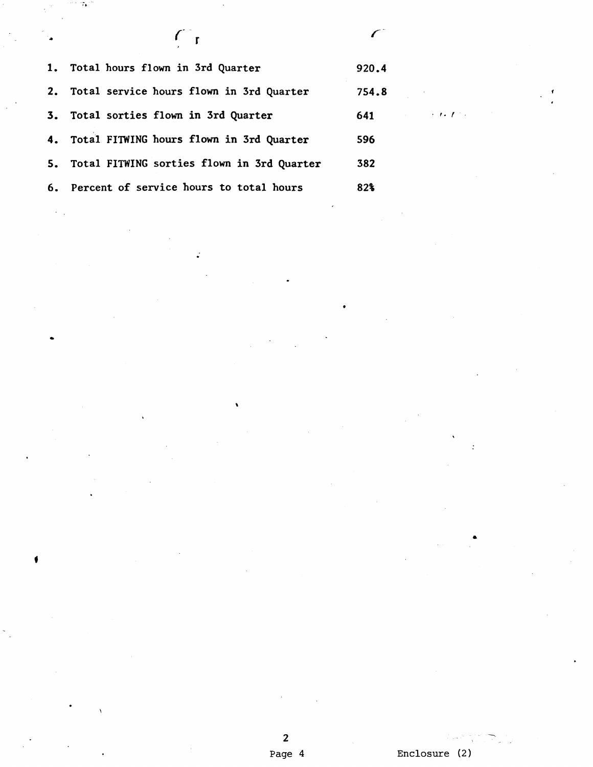| $\mathcal{L}_{\bullet}$ |                                               |       |             |
|-------------------------|-----------------------------------------------|-------|-------------|
|                         | 1. Total hours flown in 3rd Quarter           | 920.4 |             |
|                         | 2. Total service hours flown in 3rd Quarter   | 754.8 |             |
|                         | 3. Total sorties flown in 3rd Quarter         | 641   | $\cdot$ 1.1 |
|                         | 4. Total FITWING hours flown in 3rd Quarter   | 596   |             |
|                         | 5. Total FITWING sorties flown in 3rd Quarter | 382   |             |
|                         | 6. Percent of service hours to total hours    | 82%   |             |

ż

76

 $\pmb{\theta}$ 

**Enclosure** (2)

-

 $\ddot{\cdot}$ 

**2 Page 4**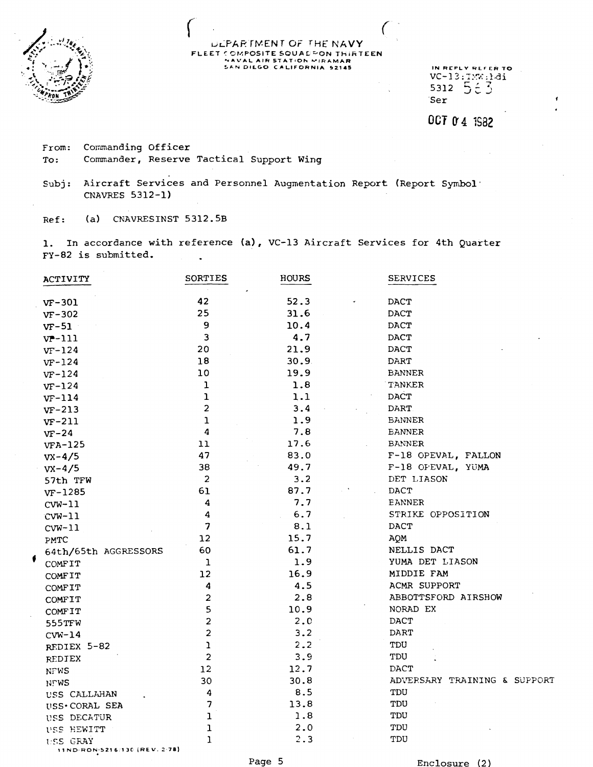

### DEPARTMENT OF THE NAVY FLEET COMPOSITE SQUADPON THIRTEEN NAVAL AIR STATION MIRAMAR

IN REPLY REFER TO  $VC-13:100;161$ <br>5312  $555$ Ser

OCT 0'4 1982

Commanding Officer From: To: Commander, Reserve Tactical Support Wing

Aircraft Services and Personnel Augmentation Report (Report Symbol'  $Subj:$ CNAVRES 5312-1)

(a) CNAVRESINST 5312.5B  $Ref:$ 

1. In accordance with reference (a), VC-13 Aircraft Services for 4th Quarter FY-82 is submitted.

|   | ACTIVITY                                  | SORTIES                 | <b>HOURS</b> | <b>SERVICES</b>              |
|---|-------------------------------------------|-------------------------|--------------|------------------------------|
|   | $VF-301$                                  | 42                      | 52.3         | DACT                         |
|   | $VF-302$                                  | 25                      | 31.6         | DACT                         |
|   | $VF-51$                                   | 9                       | 10.4         | DACT                         |
|   | $vr-111$                                  | 3                       | 4.7          | DACT                         |
|   | $VF-124$                                  | 20                      | 21.9         | DACT                         |
|   | $VF-124$                                  | 18                      | 30.9         | DART                         |
|   | $VF-124$                                  | 10                      | 19.9         | <b>BANNER</b>                |
|   | $VF-124$                                  | ı                       | 1.8          | TANKER                       |
|   | $VF-114$                                  | ı                       | 1.1          | <b>DACT</b>                  |
|   | $VF-213$                                  | $\overline{\mathbf{c}}$ | 3.4          | DART.                        |
|   | $VF-211$                                  | $\mathbf 1$             | 1.9          | <b>BANNER</b>                |
|   | $VF-24$                                   | 4                       | 7.8          | <b><i>BANNER</i></b>         |
|   | $VFA-125$                                 | 11                      | 17.6         | <b>BANNER</b>                |
|   | $yx-4/5$                                  | 47                      | 83.0         | F-18 OPEVAL, FALLON          |
|   | $vx-4/5$                                  | 38                      | 49.7         | F-18 OPEVAL, YUMA            |
|   | 57th TFW                                  | $\overline{2}$          | 3.2          | DET LIASON                   |
|   | $VF-1285$                                 | 61                      | 87.7         | DACT                         |
|   | $CVM-11$                                  | 4                       | 7.7          | EANNER                       |
|   | $CVM-11$                                  | 4                       | 6.7          | STRIKE OPPOSITION            |
|   | $CVM-11$                                  | 7                       | 8.1          | DACT                         |
|   | PMTC                                      | 12                      | 15.7         | AQM                          |
|   | 64th/65th AGGRESSORS                      | 60                      | 61.7         | NELLIS DACT                  |
| f | COMFIT                                    | ı                       | 1.9          | YUMA DET LIASON              |
|   | <b>COMFIT</b>                             | 12                      | 16.9         | MIDDIE FAM                   |
|   | COMFIT                                    | 4                       | 4.5          | ACMR SUPPORT                 |
|   | COMFIT                                    | $\overline{a}$          | 2.8          | ABBOTTSFORD AIRSHOW          |
|   | <b>COMFIT</b>                             | 5                       | 10.9         | NORAD EX                     |
|   | 555TFW                                    | $\overline{c}$          | 2.0          | <b>DACT</b>                  |
|   | $CVM-14$                                  | $\overline{c}$          | 3.2          | DART                         |
|   | REDIEX 5-82                               | ı                       | 2.2          | TDU                          |
|   | REDIEX                                    | $\overline{c}$          | 3.9          | TDU                          |
|   | <b>NFWS</b>                               | 12                      | 12.7         | DACT                         |
|   | <b>NFWS</b>                               | 30                      | 30.8         | ADVERSARY TRAINING & SUPPORT |
|   | USS CALLAHAN                              | 4                       | 8.5          | TDU                          |
|   | USS. CORAL SEA                            | 7                       | 13.8         | TDU                          |
|   | USS DECATUR                               | ı                       | 1.8          | TDU                          |
|   | USS HEWITT                                | ı                       | 2.0          | TDU                          |
|   | USS GRAY<br>11ND-RON-5216/130 (REV. 2-78) | 1                       | 2.3          | TDU                          |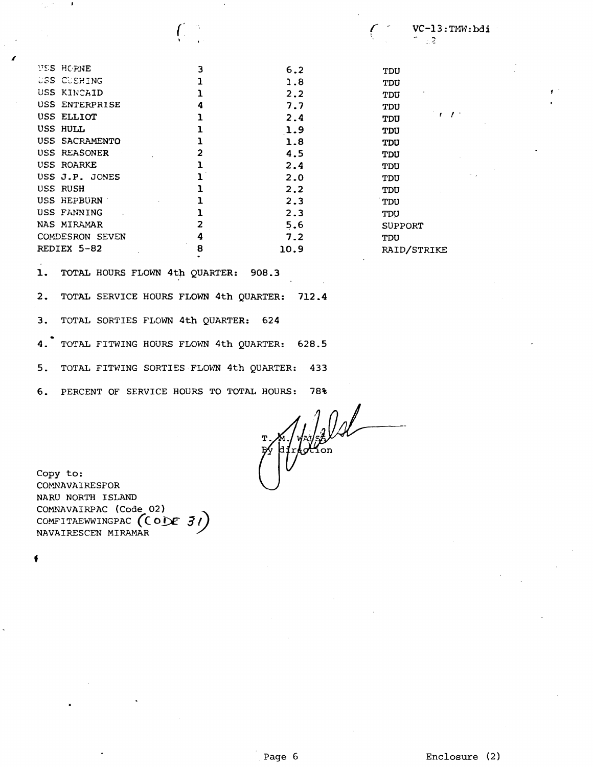| USS HOPNE       | 3 | 6.2  | TDU            |
|-----------------|---|------|----------------|
| USS CUSHING     |   | 1.8  | TDU            |
| USS KINCAID     |   | 2.2  | TDU            |
| USS ENTERPRISE  | 4 | 7.7  | TDU            |
| USS ELLIOT      |   | 2.4  | TDU            |
| USS HULL        |   | 1.9  | <b>TDU</b>     |
| USS SACRAMENTO  |   | 1.8  | TDU            |
| USS REASONER    |   | 4.5  | TDU            |
| USS ROARKE      |   | 2.4  | TDU            |
| USS J.P. JONES  |   | 2.0  | TDU            |
| USS RUSH        |   | 2.2  | TDU            |
| USS HEPBURN     |   | 2.3  | TDU            |
| USS FANNING     |   | 2.3  | TDU            |
| NAS MIRAMAR     | 2 | 5.6  | <b>SUPPORT</b> |
| COMDESRON SEVEN | 4 | 7.2  | TDU            |
| REDIEX 5-82     | 8 | 10.9 | RAID/STRIKE    |
|                 |   |      |                |

**1.** TOTAL HOURS FLOWN **4th**  QUARTER: 908.3

**2.** TOTAL SERVICE HOURS FLOWN **4th** QUARTER: **712.4** 

**3. TOTAL SORTIES FLOWN 4th QUARTER: 624** 

 $4.$ TOTAL FITWING HOURS FLOWN 4th QUARTER: 628.5

5. TOTAL FITk?ING SORTIES FLOWN 4th QUARTER: **433** 

**6.** PERCENT OF SERVICE HOURS TO TOTAL HOURS: 78%<br> $T. \frac{1}{2} \left( \frac{1}{2} \right)$ 

Copy to: COMNAVAIRESFOR NARU NORTH ISLAND COMNAVAIRPAC (Code 02) COMFITAEWWINGPAC (CODE 31) NAVAIRESCEN MIRAMAR

**I**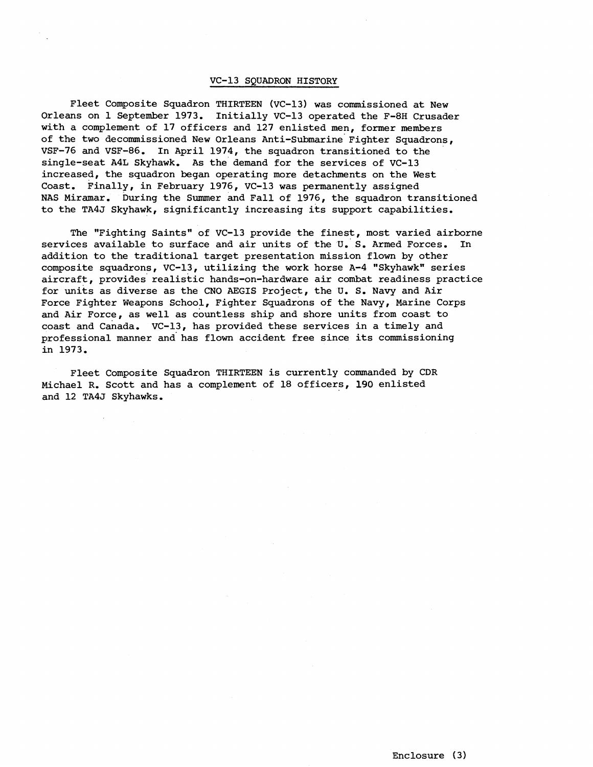#### VC-13 SOUADRON HISTORY

Fleet Composite Squadron THIRTEEN (VC-13) was commissioned at New Orleans on 1 September 1973. Initially VC-13 operated the F-8H Crusader with a complement of 17 officers and 127 enlisted men, former members of the two decommissioned New Orleans Anti-Submarine Fighter Squadrons, VSF-76 and VSF-86. In April 1974, the squadron transitioned to the single-seat A4L Skyhawk. As the demand for the services of VC-13 increased, the squadron began operating more detachments on the West Coast. Finally, in February 1976, VC-13 was permanently assigned NAS Miramar. During the Summer and Fall of 1976, the squadron transitioned to the TA4J Skyhawk, significantly increasing its support capabilities.

The "Fighting Saints" of VC-13 provide the finest, most varied airborne services available to surface and air units of the U. S. Armed Forces. In addition to the traditional target presentation mission flown by other composite squadrons, VC-13, utilizing the work horse A-4 "Skyhawk" series aircraft, provides realistic hands-on-hardware air combat readiness practice for units as diverse as the CNO AEGIS Project, the U. S. Navy and Air Force Fighter Weapons School, Fighter Squadrons of the Navy, Marine Corps and Air Force, as well as countless ship and shore units from coast to coast and Canada. VC-13, has provided these services in a timely and professional manner and' has flown accident free since its commissioning in 1973.

Fleet Composite Squadron THIRTEEN is currently commanded by CDR Michael R. Scott and has a complement of 18 officers, 190 enlisted and 12 TA4J Skyhawks.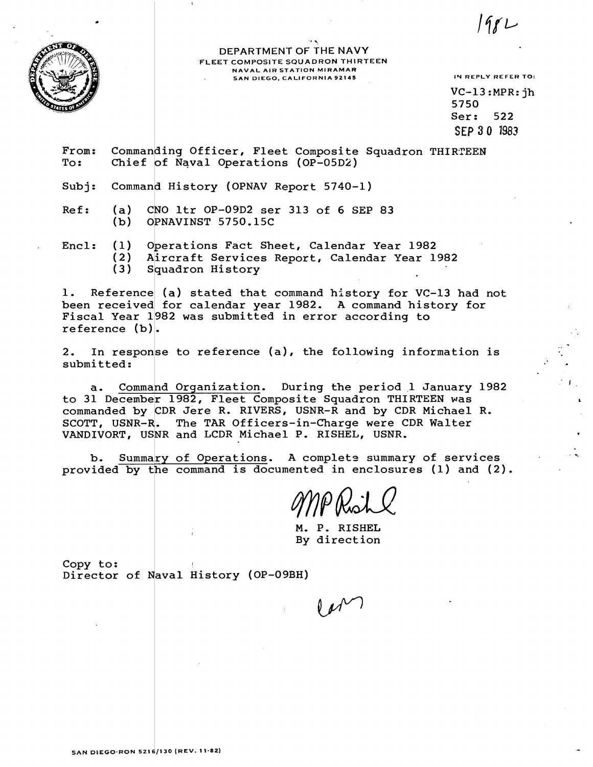

**'P** ., **DEPARTMENT OF THE NAVY FLEET COMPOSITE SQUADRON THIRTEEN NAVAL AIR STATION MlRAMAR**  SAN DIEGO, CALIFORNIA 92145 **IN REPLY REFER TO:** 

198 L

VC-13 :MPR: jh 5750 Ser: 522 SEP 30 1983

- From: Commanding Officer, Fleet Composite Squadron THIRTEEN<br>To: Chief of Naval Operations (OP-05D2)
- Subj: Command History (OPNAV Report 5740-1)
- Ref: (a) CNO 1tr OP-09D2 ser 313 of 6 SEP 83<br>(b) OPNAVINST 5750.15C OPNAVINST 5750.15C
- Encl: (1) Operations Fact Sheet, Calendar Year 1982  $(2)$ Aircraft Services Report, Calendar Year 1982  $(3)$ Squadron History

1. Reference (a) stated that command history for VC-13 had not been received for calendar year 1982. A command history for Fiscal Year 1982 was submitted in error according to reference  $(b)$ .

2. In response to reference (a), the following information is submitted:

a. Command Organization. During the period 1 January 1982 to 31 December 1982, Fleet Composite Squadron THIRTEEN was commanded by  $\texttt{CDR}$  Jere R. RIVERS, USNR-R and by  $\texttt{CDR}$  Michael R. SCOTT, USNR-R. The TAR Officers-in-Charge were CDR Walter VANDIVORT, USNR and LCDR Michael P. RISHEL, USNR.

b. Summary of Operations. A complete summary of services provided by the command is documented in enclosures (1) and (2).

M. P. RISHEL By direction

Copy to: Director of Naval History (OP-09BH)

 $M^{1/2}$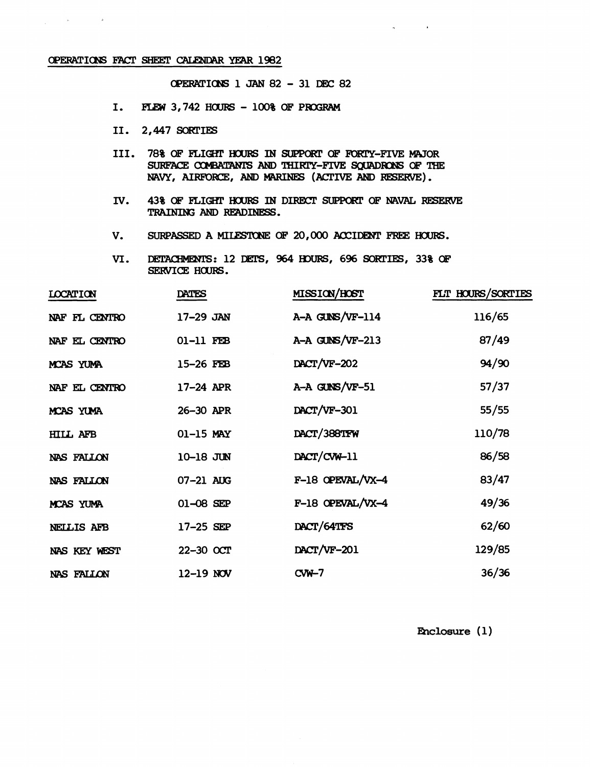### OPERATIONS FACT SHEET CALENDAR YEAR 1982

 $\hat{\mathbf{p}}_i$  and  $\hat{\mathbf{p}}_i$  and  $\hat{\mathbf{p}}_i$ 

 $\Delta \sim 1$ 

OPERATIONS 1 JAN 82 - 31 DEC 82

- $I.$ FLEW 3,742 HOURS - 100% OF PROGRAM
- II. 2,447 SORTIES
- III. 78% OF FLIGHT HOURS IN SUPPORT OF FORTY-FIVE MAJOR SURFACE COMBATANTS AND THIRTY-FIVE SOUADRONS OF THE NAVY, AIRFORCE, AND MARINES (ACTIVE AND RESERVE).
- IV. 43% OF FLIGHT HOURS IN DIRECT SUPPORT OF NAVAL RESERVE TRAINING AND READINESS.
- SURPASSED A MILESTONE OF 20,000 ACCIDENT FREE HOURS. V.
- VI. DETACHMENTS: 12 DETS, 964 HOURS, 696 SORTIES, 33% OF SERVICE HOURS.

| <b>LOCATION</b>   | DATES         | <b>MISSION/HOST</b> | FLT HOURS/SORTIES |
|-------------------|---------------|---------------------|-------------------|
| NAF FL CENTRO     | 17-29 JAN     | A-A GUNS/VF-114     | 116/65            |
| NAF EL CENTRO     | 01-11 FEB     | A-A GUNS/VF-213     | 87/49             |
| MCAS YUMA         | 15-26 FEB     | DACT/VF-202         | 94/90             |
| NAF EL CENTRO     | 17-24 APR     | A-A GUNS/VF-51      | 57/37             |
| MCAS YUMA         | 26-30 APR     | DACT/VF-301         | 55/55             |
| <b>HILL AFB</b>   | 01-15 MAY     | DACT/388TFW         | 110/78            |
| NAS FALLON        | 10-18 JUN     | DACT/CVW-11         | 86/58             |
| NAS FALLON        | 07-21 AUG     | $F-18$ OPEVAL/VX-4  | 83/47             |
| MCAS YUMA         | $01 - 08$ SEP | F-18 OPEVAL/VX-4    | 49/36             |
| NEILIS AFB        | 17-25 SEP     | DACT/64TFS          | 62/60             |
| NAS KEY WEST      | 22-30 OCT     | DACT/VF-201         | 129/85            |
| <b>NAS FALLON</b> | $12-19$ NOV   | $CW-7$              | 36/36             |

Enclosure (1)

 $\sim$   $\alpha$ 

 $\sim$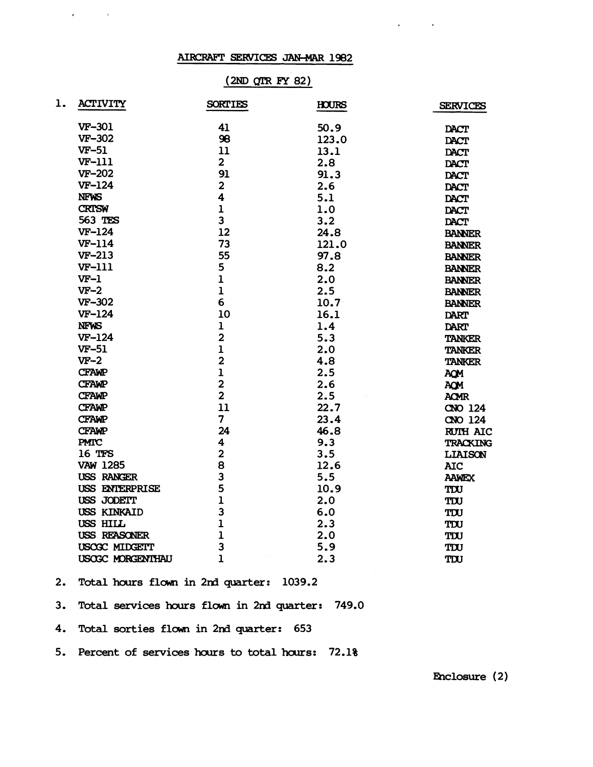# AIRCRAFT SERVICES JAN-MAR 1982

 $\sim 10$ 

 $\mathbf{r} = \mathbf{r} \times \mathbf{r}$  , where  $\mathbf{r}$ 

# $(2ND$  QTR FY 82)

| ı. | <b>ACTIVITY</b>   | <b>SORTIES</b>          | <b>HOURS</b>      | <b>SERVICES</b> |
|----|-------------------|-------------------------|-------------------|-----------------|
|    | VF-301            | 41                      | 50.9              | <b>DACT</b>     |
|    | <b>VF-302</b>     | 98                      | 123.0             | <b>DACT</b>     |
|    | <b>VF-51</b>      | 11                      | 13.1              | <b>DACT</b>     |
|    | <b>VF-111</b>     | 2 <sup>1</sup>          | 2.8               | <b>DACT</b>     |
|    | <b>VF-202</b>     | 91                      | 91.3              | <b>DACT</b>     |
|    | <b>VF-124</b>     | $\overline{2}$          | 2.6               | <b>DACT</b>     |
|    | <b>NFWS</b>       | $\overline{\mathbf{4}}$ | 5.1               | DACT            |
|    | <b>CRTSW</b>      | $\mathbf{1}$            | 1.0               | <b>DACT</b>     |
|    | 563 TES           | $\overline{\mathbf{3}}$ | 3.2               | <b>DACT</b>     |
|    | $VF-124$          | 12                      | 24.8              | <b>BANNER</b>   |
|    | $VF-114$          | 73                      | 121.0             | <b>BANNER</b>   |
|    | $VF-213$          | 55                      | 97.8              | <b>BANNER</b>   |
|    | <b>VF-111</b>     | 5                       | 8.2               | <b>BANNER</b>   |
|    | $VF-1$            | $\mathbf{1}$            | 2.0               | <b>BANNER</b>   |
|    | $VF-2$            | $\mathbf{1}$            | 2.5               | <b>BANNER</b>   |
|    | <b>VF-302</b>     | 6                       | 10.7 <sup>°</sup> | <b>BANNER</b>   |
|    | $VF-124$          | 10                      | 16.1              | <b>DART</b>     |
|    | <b>NFWS</b>       | $\mathbf{1}$            | 1.4               | <b>DART</b>     |
|    | $VF-124$          | $\overline{2}$          | 5.3               | <b>TANKER</b>   |
|    | <b>VF-51</b>      | $\mathbf{1}$            | 2.0               | <b>TANKER</b>   |
|    | $VF-2$            | $\overline{2}$          | 4.8               | <b>TANKER</b>   |
|    | <b>CFAWP</b>      | $\mathbf{1}$            | 2.5               | AQM             |
|    | <b>CFAWP</b>      | $\overline{2}$          | 2.6               | <b>AQM</b>      |
|    | <b>CFAWP</b>      | $\overline{2}$          | 2.5               | <b>ACMR</b>     |
|    | <b>CFAWP</b>      | 11                      | 22.7              | CNO 124         |
|    | <b>CFAWP</b>      | $\overline{7}$          | 23.4              | CNO 124         |
|    | <b>CFAWP</b>      | 24                      | 46.8              | <b>RUTH AIC</b> |
|    | <b>PMTC</b>       | $\overline{\mathbf{4}}$ | 9.3               | <b>TRACKING</b> |
|    | 16 TFS            | $\overline{\mathbf{2}}$ | 3.5               | <b>LIAISON</b>  |
|    | <b>VAW 1285</b>   | 8                       | 12.6              | <b>AIC</b>      |
|    | <b>USS RANGER</b> | 3                       | 5.5               | <b>AAWEX</b>    |
|    | USS ENTERPRISE    | 5                       | 10.9              | TIU             |
|    | USS JODETT        | $\mathbf{1}$            | 2.0               | TDU             |
|    | USS KINKAID       | 3                       | 6.0               | TDU             |
|    | USS HILL          | $\mathbf{1}$            | 2.3               | TIU             |
|    | USS REASONER      | $\mathbf{1}$            | 2.0               | TIU             |
|    | USCGC MIDGETT     | 3                       | 5.9               | TIU             |
|    | USCGC MORGENTHAU  | $\mathbf{1}$            | 2.3               | TDU             |

2. Total hours flown in 2nd quarter: 1039.2

3. Total services hours flown in 2nd quarter: 749.0

4. Total sorties flown in 2nd quarter: 653

5. Percent of services hours to total hours: 72.1%

Enclosure (2)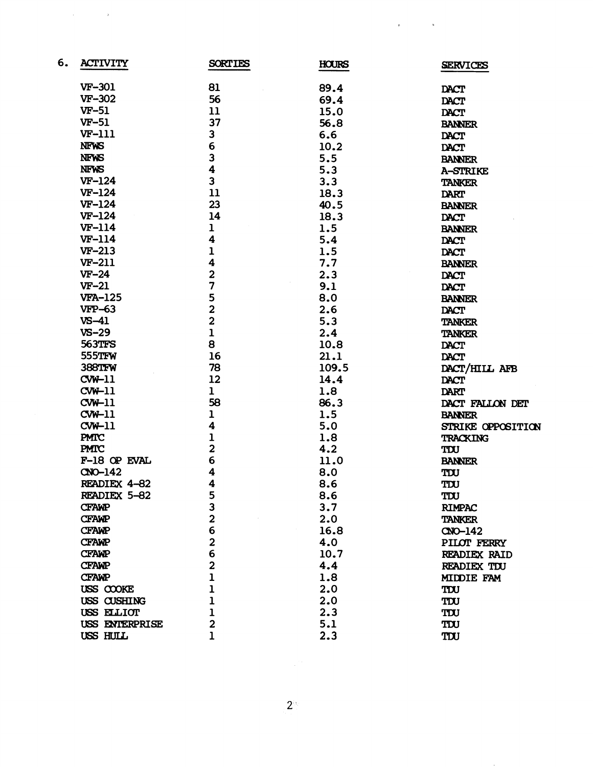| 6. | <b>ACTIVITY</b> | <b>SORTIES</b>          | <b>HOURS</b> | <b>SERVICES</b>   |
|----|-----------------|-------------------------|--------------|-------------------|
|    | <b>VF-301</b>   | 81                      | 89.4         | DACT              |
|    | <b>VF-302</b>   | 56                      | 69.4         | <b>DACT</b>       |
|    | $VF-51$         | 11                      | 15.0         | <b>DACT</b>       |
|    | $VF-51$         | 37                      | 56.8         | <b>BANNER</b>     |
|    | <b>VF-111</b>   | 3                       | 6.6          | <b>DACT</b>       |
|    | <b>NFWS</b>     | 6                       | 10.2         | <b>DACT</b>       |
|    | <b>NFWS</b>     | 3                       | 5.5          |                   |
|    | <b>NFWS</b>     | 4                       | 5.3          | <b>BANNER</b>     |
|    | $VF-124$        | 3                       | 3.3          | A-STRIKE          |
|    | $VF-124$        | 11                      |              | <b>TANKER</b>     |
|    | $VF-124$        | 23                      | 18.3         | <b>DART</b>       |
|    | $VF-124$        |                         | 40.5         | <b>BANNER</b>     |
|    |                 | 14                      | 18.3         | <b>DACT</b>       |
|    | <b>VF-114</b>   | $\mathbf 1$             | 1.5          | <b>BANNER</b>     |
|    | <b>VF-114</b>   | 4                       | 5.4          | <b>DACT</b>       |
|    | VF-213          | $\mathbf{1}$            | 1.5          | <b>DACT</b>       |
|    | VF-211          | $\overline{\mathbf{4}}$ | 7.7          | <b>BANNER</b>     |
|    | $VF-24$         | $\overline{2}$          | 2.3          | <b>DACT</b>       |
|    | $VF-21$         | 7                       | 9.1          | <b>DACT</b>       |
|    | <b>VFA-125</b>  | $\frac{5}{2}$           | 8.0          | <b>BANNER</b>     |
|    | <b>VFP-63</b>   |                         | 2.6          | <b>DACT</b>       |
|    | $VS-41$         | $\overline{2}$          | 5.3          | <b>TANKER</b>     |
|    | $VS - 29$       | $\mathbf{1}$            | 2.4          | <b>TANKER</b>     |
|    | <b>563TFS</b>   | 8                       | 10.8         | <b>DACT</b>       |
|    | 555TFW          | 16                      | 21.1         | <b>DACT</b>       |
|    | 388TFW          | 78                      | 109.5        | DACT/HILL AFB     |
|    | $CVM-11$        | 12                      | 14.4         | DACT              |
|    | CWH11           | $\mathbf{1}$            | 1.8          | <b>DART</b>       |
|    | $CW-11$         | 58                      | 86.3         | DACT FALLON DET   |
|    | $CW-11$         | ı                       | 1.5          | <b>BANNER</b>     |
|    | $CW-11$         | $\overline{\mathbf{4}}$ | 5.0          | STRIKE OPPOSITION |
|    | <b>PMTC</b>     | $\overline{\mathbf{1}}$ | 1.8          | <b>TRACKING</b>   |
|    | PMTC            | $\overline{\mathbf{c}}$ | 4.2          | TDU               |
|    | F-18 OP EVAL    | 6                       | 11.0         | <b>BANNER</b>     |
|    | $CDO-142$       | 4                       | 8.0          | TDU               |
|    | READIEX 4-82    | 4                       | 8.6          | TIU               |
|    | READIEX 5-82    | 5                       | 8.6          | TDU               |
|    | <b>CFAWP</b>    | 3                       | 3.7          | <b>RIMPAC</b>     |
|    | <b>CFAWP</b>    | $\overline{\mathbf{2}}$ | 2.0          | <b>TANKER</b>     |
|    | <b>CFAWP</b>    | 6                       | 16.8         | $CD - 142$        |
|    | <b>CFAWP</b>    | $\overline{\mathbf{2}}$ | 4.0          | PILOT FERRY       |
|    | <b>CFAWP</b>    | 6                       | 10.7         | READIEX RAID      |
|    | <b>CFAWP</b>    | $\overline{2}$          | 4.4          | READIEX TDU       |
|    | <b>CFAWP</b>    | ı                       | 1.8          | MIDDIE FAM        |
|    | USS COOKE       | $\mathbf 1$             | 2.0          | TIU               |
|    | USS CUSHING     | $\mathbf{I}$            | 2.0          | TIU               |
|    | USS ELLIOT      | ı                       | 2.3          | TIU               |
|    | USS ENTERPRISE  | $\overline{\mathbf{c}}$ | 5.1          | TIU               |
|    | USS HULL        | ı                       | 2.3          | TIU               |

 $\label{eq:2.1} \frac{1}{\sqrt{2\pi}}\int_{0}^{\pi} \frac{1}{\sqrt{2\pi}}\left(\frac{1}{\sqrt{2\pi}}\right)^{2\pi} \frac{1}{\sqrt{2\pi}}\left(\frac{1}{\sqrt{2\pi}}\right)^{2\pi} \frac{1}{\sqrt{2\pi}}\left(\frac{1}{\sqrt{2\pi}}\right)^{2\pi} \frac{1}{\sqrt{2\pi}}\frac{1}{\sqrt{2\pi}}\frac{1}{\sqrt{2\pi}}\frac{1}{\sqrt{2\pi}}\frac{1}{\sqrt{2\pi}}\frac{1}{\sqrt{2\pi}}\frac{1}{\sqrt{2\pi}}\frac{1$ 

 $2^{\frac{1}{2}}$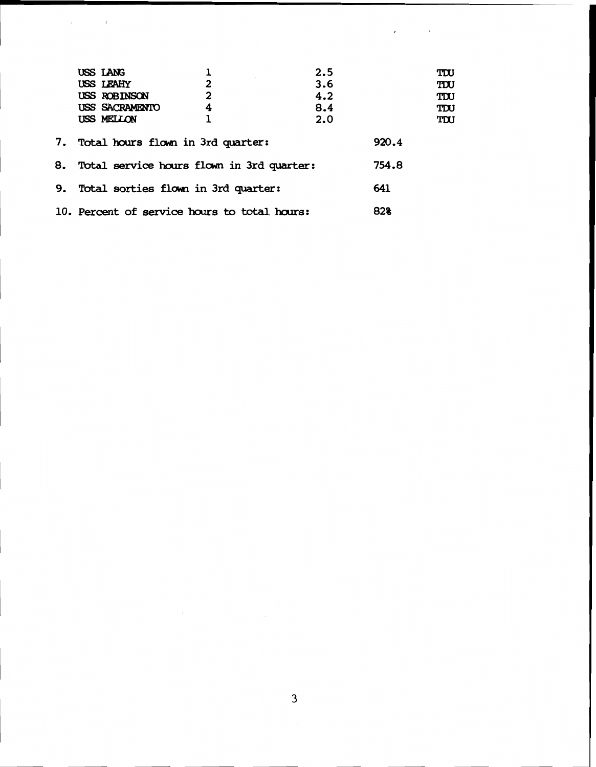|    | USS LANG                                     |   | 2.5 |       | TIU |
|----|----------------------------------------------|---|-----|-------|-----|
|    | USS LEAHY                                    | 2 | 3.6 |       | TDU |
|    | USS ROBINSON                                 | 2 | 4.2 |       | TDU |
|    | USS SACRAMENTO                               | 4 | 8.4 |       | TDU |
|    | USS MELLON                                   |   | 2.0 |       | TDU |
|    | 7. Total hours flown in 3rd quarter:         |   |     | 920.4 |     |
| 8. | Total service hours flown in 3rd quarter:    |   |     | 754.8 |     |
| 9. | Total sorties flown in 3rd quarter:          |   |     | 641   |     |
|    | 10. Percent of service hours to total hours: |   |     | 82%   |     |

 $\label{eq:2.1} \mathcal{E}(\mathcal{E}) = \mathcal{E}(\mathcal{E})$ 

 $\label{eq:2.1} \frac{1}{2} \int_{\mathbb{R}^3} \left| \frac{d\mathbf{x}}{d\mathbf{x}} \right| \, d\mathbf{x} \, d\mathbf{x} \, d\mathbf{x} \, d\mathbf{x} \, d\mathbf{x} \, d\mathbf{x} \, d\mathbf{x} \, d\mathbf{x} \, d\mathbf{x} \, d\mathbf{x} \, d\mathbf{x} \, d\mathbf{x} \, d\mathbf{x} \, d\mathbf{x} \, d\mathbf{x} \, d\mathbf{x} \, d\mathbf{x} \, d\mathbf{x} \, d\mathbf{x} \, d\mathbf{x} \, d\mathbf{x} \,$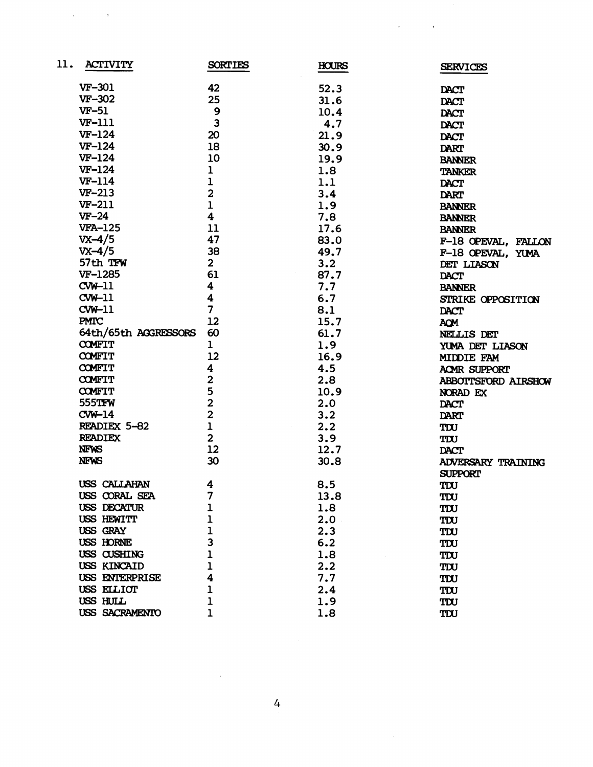| 11. | ACTIVITY             | <b>SORTIES</b>          | <b>HOURS</b> | <b>SERVICES</b>           |
|-----|----------------------|-------------------------|--------------|---------------------------|
|     | <b>VF-301</b>        | 42                      | 52.3         | DACT                      |
|     | <b>VF-302</b>        | 25                      | 31.6         | <b>DACT</b>               |
|     | $VF-51$              | 9                       | 10.4         | DACT                      |
|     | <b>VF-111</b>        | $\overline{\mathbf{3}}$ | 4.7          | <b>DACT</b>               |
|     | $VF-124$             | 20                      | 21.9         | <b>DACT</b>               |
|     | <b>VF-124</b>        | 18                      | 30.9         | DART                      |
|     | $VF-124$             | 10                      | 19.9         | <b>BANNER</b>             |
|     | $VF-124$             | ı                       | 1.8          | <b>TANKER</b>             |
|     | <b>VF-114</b>        | $\mathbf{I}$            | 1.1          | DACT                      |
|     | $VF-213$             | $\overline{2}$          | 3.4          | DART                      |
|     | <b>VF-211</b>        | $\mathbf{I}$            | 1.9          | <b>BANNER</b>             |
|     | $VF-24$              | 4                       | 7.8          | <b>BANNER</b>             |
|     | <b>VFA-125</b>       | 11                      | 17.6         | <b>BANNER</b>             |
|     | $V_{X}-4/5$          | 47                      | 83.0         | F-18 OPEVAL, FALLON       |
|     | $V_{X}-4/5$          | 38                      | 49.7         | F-18 OPEVAL, YUMA         |
|     | 57th TFW             | $\overline{2}$          | 3.2          | DET LIASON                |
|     | VF-1285              | 61                      | 87.7         | <b>DACT</b>               |
|     | $CW-11$              | 4                       | 7.7          | <b>BANNER</b>             |
|     | $CW-11$              | 4                       | 6.7          | STRIKE OPPOSITION         |
|     | $CW-11$              | 7                       | 8.1          | <b>DACT</b>               |
|     | <b>PMTC</b>          | 12                      | 15.7         | AQM                       |
|     | 64th/65th AGGRESSORS | 60                      | 61.7         | NELLIS DET                |
|     | <b>COMFIT</b>        | 1                       | 1.9          | YUMA DET LIASON           |
|     | <b>COMFIT</b>        | 12                      | 16.9         | MIDDIE FAM                |
|     | <b>COMFIT</b>        | 4                       | 4.5          | ACMR SUPPORT              |
|     | <b>COMFIT</b>        | $\overline{\mathbf{c}}$ | 2.8          | ABBOTTSFORD AIRSHOW       |
|     | <b>COMFIT</b>        | 5                       | 10.9         | NORAD EX                  |
|     | 555TFW               | $\overline{2}$          | 2.0          | DACT                      |
|     | $CW-14$              | $\overline{2}$          | 3.2          | <b>DART</b>               |
|     | READIEX 5-82         | $\overline{1}$          | 2.2          | TIU                       |
|     | <b>READIEX</b>       | $\overline{\mathbf{2}}$ | 3.9          | TDU                       |
|     | <b>NFWS</b>          | 12                      | 12.7         | <b>DACT</b>               |
|     | <b>NFWS</b>          | 30                      | 30.8         | <b>ADVERSARY TRAINING</b> |
|     |                      |                         |              | <b>SUPPORT</b>            |
|     | USS CALLAHAN         | 4                       | 8.5          | TIU                       |
|     | USS CORAL SEA        | 7                       | 13.8         | TIU                       |
|     | USS DECATUR          | ı                       | 1.8          | TIU                       |
|     | USS HEWITT           |                         | 2.0          | TIU                       |
|     | USS GRAY             |                         | 2.3          | TIU                       |
|     | USS HORNE            | 3                       | 6.2          | TIU                       |
|     | USS CUSHING          |                         | 1.8          | TIU                       |
|     | USS KINCAID          |                         | 2.2          | TDU                       |
|     | USS ENTERPRISE       | 4                       | 7.7          | TIU                       |
|     | USS ELLIOT           |                         | 2.4          | TIU                       |
|     | USS HULL             | ı                       | 1.9          | TDU                       |
|     | USS SACRAMENTO       |                         | 1.8          | TIU                       |

 $\label{eq:2.1} \mathbf{r} = \left( \begin{array}{cc} 0 & \text{if } \mathbf{r} \in \mathbb{R}^d \\ \text{if } \mathbf{r} \in \mathbb{R}^d \end{array} \right) \quad \text{and} \quad \mathbf{r} = \left( \begin{array}{cc} 0 & \text{if } \mathbf{r} \in \mathbb{R}^d \\ \text{if } \mathbf{r} \in \mathbb{R}^d \end{array} \right)$ 

 $\label{eq:2.1} \mathcal{L}_{\mathcal{A}}(\mathbf{r}) = \mathcal{L}_{\mathcal{A}}(\mathbf{r}) \mathcal{L}_{\mathcal{A}}(\mathbf{r}) \mathcal{L}_{\mathcal{A}}(\mathbf{r})$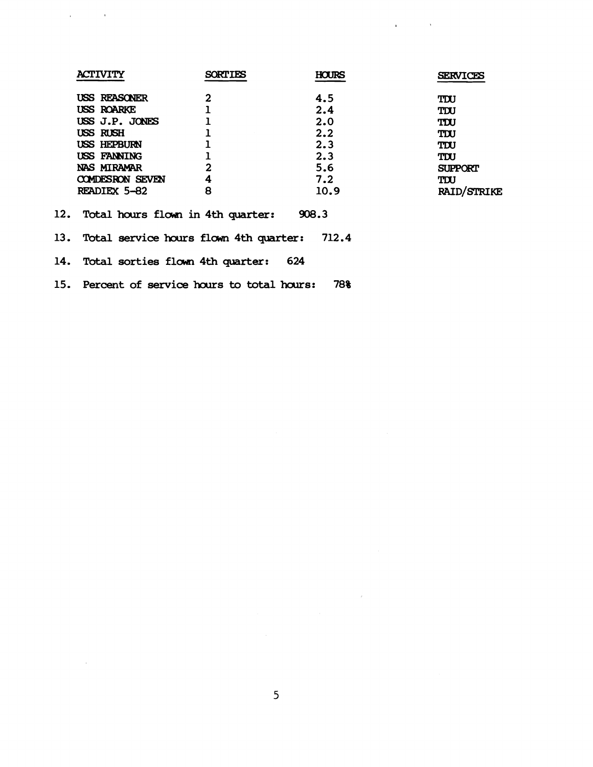| <b>ACTIVITY</b>                                     | <b>SORTIES</b> | HOURS | <b>SERVICES</b>    |  |  |  |
|-----------------------------------------------------|----------------|-------|--------------------|--|--|--|
| USS REASONER                                        |                | 4.5   | TIU                |  |  |  |
| <b>USS ROARKE</b>                                   |                | 2.4   | TDU                |  |  |  |
| USS J.P. JONES                                      |                | 2.0   | TIU                |  |  |  |
| USS RUSH                                            |                | 2.2   | TIU                |  |  |  |
| USS HEPBURN                                         |                | 2.3   | TDU                |  |  |  |
| USS FANNING                                         |                | 2.3   | TDU                |  |  |  |
| NAS MIRAMAR                                         | $\overline{2}$ | 5.6   | <b>SUPPORT</b>     |  |  |  |
| <b>COMDESRON SEVEN</b>                              | 4              | 7.2   | TDU                |  |  |  |
| READIEX 5-82                                        | 8              | 10.9  | <b>RAID/STRIKE</b> |  |  |  |
| 12. Total hours flown in 4th quarter:<br>908.3      |                |       |                    |  |  |  |
| 712.4<br>13. Total service hours flown 4th quarter: |                |       |                    |  |  |  |
| 14. Total sorties flown 4th quarter:                |                | 624   |                    |  |  |  |

 $\mathcal{L}^{\text{max}}$  and  $\mathcal{L}^{\text{max}}$ 

 $\bar{\mathbf{r}}$ 

15. Percent of service hours to total hours: 78%

 $\mathcal{A}^{\text{max}}_{\text{max}}$  and  $\mathcal{A}^{\text{max}}_{\text{max}}$ 

 $\sim$   $\epsilon$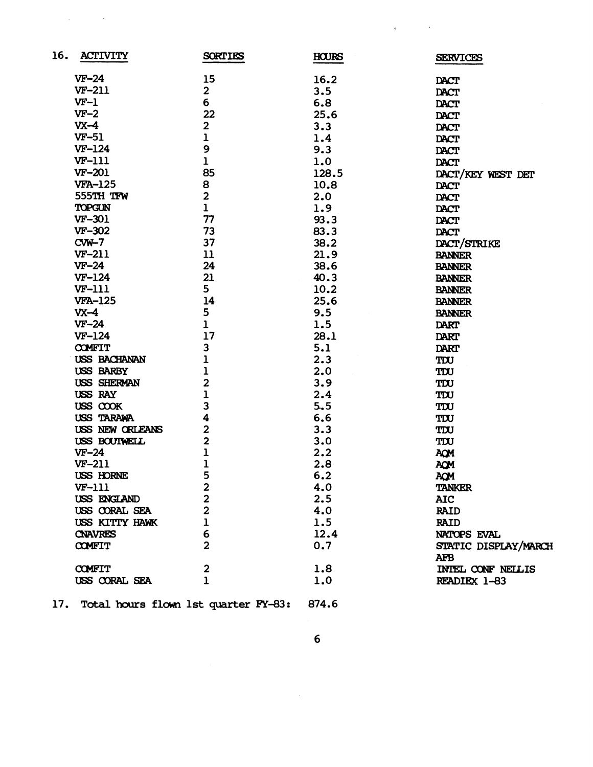| 16. | <b>ACTIVITY</b>     | <b>SORTIES</b>          | <b>HOURS</b> | <b>SERVICES</b>      |
|-----|---------------------|-------------------------|--------------|----------------------|
|     | $VF-24$             | 15                      | 16.2         | <b>DACT</b>          |
|     | <b>VF-211</b>       | $\overline{\mathbf{2}}$ | 3.5          | <b>DACT</b>          |
|     | $VF-1$              | 6                       | 6.8          | <b>DACT</b>          |
|     | $VF-2$              | 22                      | 25.6         | <b>DACT</b>          |
|     | $VX-4$              | $\mathbf{2}$            | 3.3          | DACT                 |
|     | $VF-51$             | ı                       | 1.4          | DACT                 |
|     | $VF-124$            | 9                       | 9.3          | DACT                 |
|     | <b>VF-111</b>       | $\mathbf 1$             | 1.0          | DACT                 |
|     | <b>VF-201</b>       | 85                      | 128.5        | DACT/KEY WEST DET    |
|     | <b>VFA-125</b>      | 8                       | 10.8         | DACT                 |
|     | 555TH TFW           | $\overline{2}$          | 2.0          | <b>DACT</b>          |
|     | TOPGUN              | $\mathbf{1}$            | 1.9          | DACT                 |
|     | <b>VF-301</b>       | 77                      | 93.3         | DACT                 |
|     | VF-302              | 73                      | 83.3         | <b>DACT</b>          |
|     | $CW-7$              | 37                      | 38.2         | DACT/STRIKE          |
|     | <b>VF-211</b>       | 11                      | 21.9         | <b>BANNER</b>        |
|     | $VF-24$             | 24                      | 38.6         | <b>BANNER</b>        |
|     | $VF-124$            | 21                      | 40.3         | <b>BANNER</b>        |
|     | <b>VF-111</b>       | 5                       | 10.2         | <b>BANNER</b>        |
|     | <b>VFA-125</b>      | 14                      | 25.6         | <b>BANNER</b>        |
|     | $VX-4$              | 5                       | 9.5          | <b>BANNER</b>        |
|     | $VF-24$             | $\mathbf{1}$            | 1.5          | DART                 |
|     | $VF-124$            | 17                      | 28.1         | DART                 |
|     | <b>COMFIT</b>       | 3                       | 5.1          | <b>DART</b>          |
|     | <b>USS BACHANAN</b> | ı                       | 2.3          | TIU                  |
|     | <b>USS BARBY</b>    | ı                       | 2.0          | TIU                  |
|     | USS SHERMAN         | $\overline{2}$          | 3.9          | TIU                  |
|     | USS RAY             | $\overline{1}$          | 2.4          | TIU                  |
|     | USS COOK            | 3                       | 5.5          | TIU                  |
|     | USS TARAWA          | 4                       | 6.6          | TDU                  |
|     | USS NEW ORLEANS     | $\overline{\mathbf{c}}$ | 3.3          | TIU                  |
|     | USS BOUTWELL        | $\overline{2}$          | 3.0          | TIU                  |
|     | $VF-24$             | $\overline{1}$          | 2.2          | AQM                  |
|     | $VF-211$            | ı                       | 2.8          | AQM                  |
|     | <b>USS HORNE</b>    | 5                       | 6.2          | <b>AQM</b>           |
|     | <b>VF-111</b>       | 2                       | 4.0          | <b>TANKER</b>        |
|     | USS ENGLAND         | $\overline{\mathbf{2}}$ | 2.5          | <b>AIC</b>           |
|     | USS CORAL SEA       | $\overline{\mathbf{2}}$ | 4.0          | <b>RAID</b>          |
|     | USS KITTY HAWK      | $\mathbf 1$             | 1.5          | <b>RAID</b>          |
|     | <b>CNAVRES</b>      | 6                       | 12.4         | NATOPS EVAL          |
|     | <b>COMFIT</b>       | $\overline{2}$          | 0.7          | STATIC DISPLAY/MARCH |
|     |                     |                         |              | <b>AFB</b>           |
|     | <b>COMFIT</b>       | $\mathbf{2}$<br>1       | 1.8          | INTEL CONF NEILIS    |
|     | USS CORAL SEA       |                         | 1.0          | READIEX 1-83         |

 $\mathbf{r} = \mathbf{r} \mathbf{r}$  , where  $\mathbf{r} = \mathbf{r} \mathbf{r}$ 

17. Total hours flown 1st quarter FY-83: 874.6

 $\label{eq:2.1} \frac{1}{\sqrt{2}}\int_{\mathbb{R}^{3}}\frac{1}{\sqrt{2}}\left(\frac{1}{\sqrt{2}}\right)^{2}d\mu\int_{\mathbb{R}^{3}}\frac{1}{\sqrt{2}}\left(\frac{1}{\sqrt{2}}\right)^{2}d\mu\int_{\mathbb{R}^{3}}\frac{1}{\sqrt{2}}\left(\frac{1}{\sqrt{2}}\right)^{2}d\mu\int_{\mathbb{R}^{3}}\frac{1}{\sqrt{2}}\left(\frac{1}{\sqrt{2}}\right)^{2}d\mu\int_{\mathbb{R}^{3}}\frac{1}{\sqrt{2}}\left(\frac{1}{$ 

 $6\phantom{a}$ 

 $\mathcal{L}^{\text{max}}_{\text{max}}$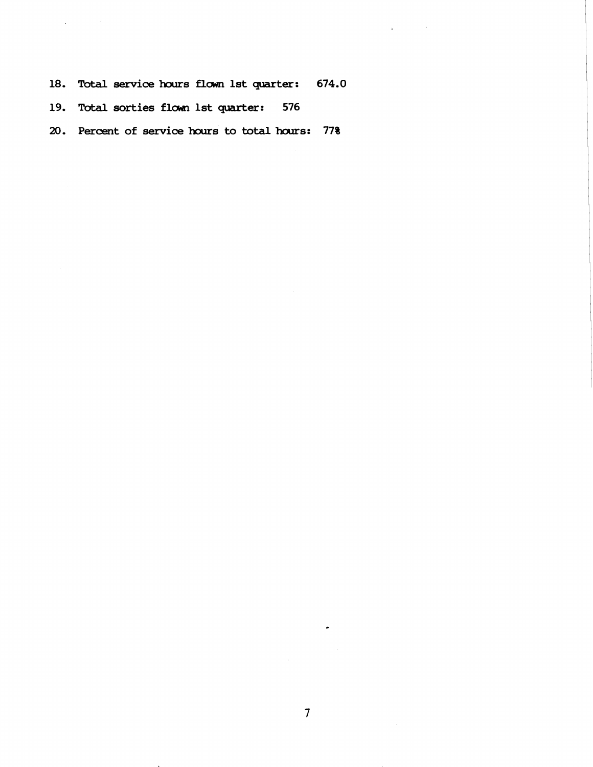18. Total service hours flown 1st quarter: 674.0

 $\mathcal{L}_{\mathbf{E}}$  and  $\mathcal{L}_{\mathbf{E}}$  and  $\mathcal{L}_{\mathbf{E}}$ 

19. Total sorties flown 1st quarter: 576

**20. Percent of service hcxlrs to totalhours: 77%** 

 $\bullet$